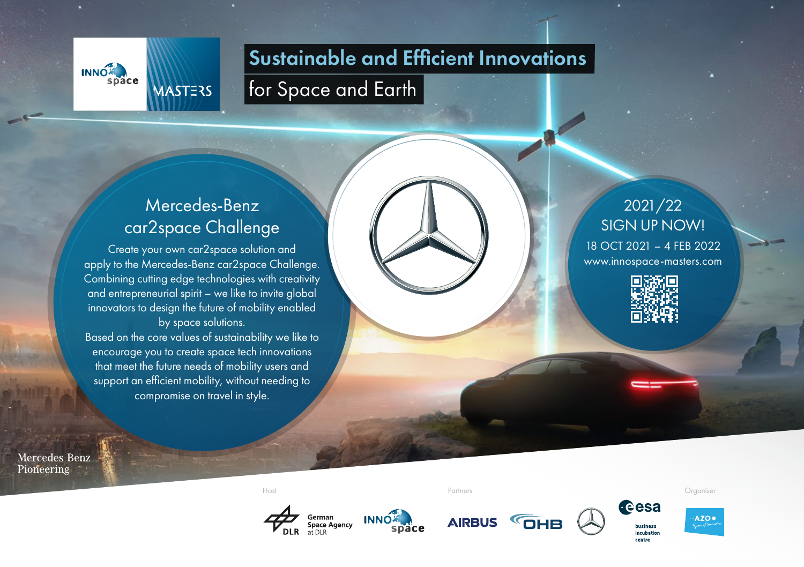

### Sustainable and Efficient Innovations

for Space and Earth

#### Mercedes-Benz car2space Challenge

Create your own car2space solution and apply to the Mercedes-Benz car2space Challenge. Combining cutting edge technologies with creativity and entrepreneurial spirit – we like to invite global innovators to design the future of mobility enabled by space solutions.

Based on the core values of sustainability we like to encourage you to create space tech innovations that meet the future needs of mobility users and support an efficient mobility, without needing to compromise on travel in style.

## 2021/22 SIGN UP NOW!

18 OCT 2021 – 4 FEB 2022 www.innospace-masters.com



Mercedes-Benz Pioneering

Host Partners Organiser